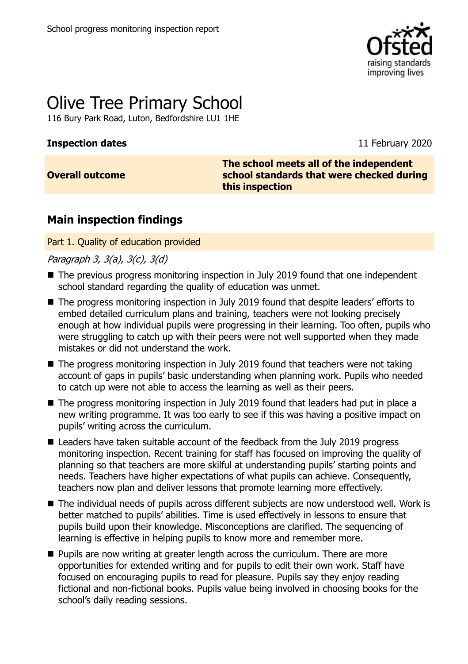

# Olive Tree Primary School

116 Bury Park Road, Luton, Bedfordshire LU1 1HE

#### **Inspection dates** 11 February 2020

## **Overall outcome**

**The school meets all of the independent school standards that were checked during this inspection**

## **Main inspection findings**

Part 1. Quality of education provided

Paragraph 3, 3(a), 3(c), 3(d)

- The previous progress monitoring inspection in July 2019 found that one independent school standard regarding the quality of education was unmet.
- The progress monitoring inspection in July 2019 found that despite leaders' efforts to embed detailed curriculum plans and training, teachers were not looking precisely enough at how individual pupils were progressing in their learning. Too often, pupils who were struggling to catch up with their peers were not well supported when they made mistakes or did not understand the work.
- The progress monitoring inspection in July 2019 found that teachers were not taking account of gaps in pupils' basic understanding when planning work. Pupils who needed to catch up were not able to access the learning as well as their peers.
- The progress monitoring inspection in July 2019 found that leaders had put in place a new writing programme. It was too early to see if this was having a positive impact on pupils' writing across the curriculum.
- Leaders have taken suitable account of the feedback from the July 2019 progress monitoring inspection. Recent training for staff has focused on improving the quality of planning so that teachers are more skilful at understanding pupils' starting points and needs. Teachers have higher expectations of what pupils can achieve. Consequently, teachers now plan and deliver lessons that promote learning more effectively.
- The individual needs of pupils across different subjects are now understood well. Work is better matched to pupils' abilities. Time is used effectively in lessons to ensure that pupils build upon their knowledge. Misconceptions are clarified. The sequencing of learning is effective in helping pupils to know more and remember more.
- **Pupils are now writing at greater length across the curriculum. There are more** opportunities for extended writing and for pupils to edit their own work. Staff have focused on encouraging pupils to read for pleasure. Pupils say they enjoy reading fictional and non-fictional books. Pupils value being involved in choosing books for the school's daily reading sessions.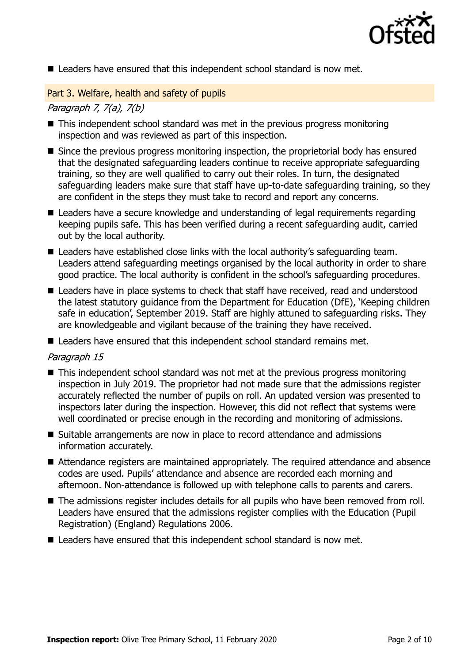

■ Leaders have ensured that this independent school standard is now met.

Part 3. Welfare, health and safety of pupils

#### Paragraph 7, 7(a), 7(b)

- This independent school standard was met in the previous progress monitoring inspection and was reviewed as part of this inspection.
- Since the previous progress monitoring inspection, the proprietorial body has ensured that the designated safeguarding leaders continue to receive appropriate safeguarding training, so they are well qualified to carry out their roles. In turn, the designated safeguarding leaders make sure that staff have up-to-date safeguarding training, so they are confident in the steps they must take to record and report any concerns.
- Leaders have a secure knowledge and understanding of legal requirements regarding keeping pupils safe. This has been verified during a recent safeguarding audit, carried out by the local authority.
- Leaders have established close links with the local authority's safeguarding team. Leaders attend safeguarding meetings organised by the local authority in order to share good practice. The local authority is confident in the school's safeguarding procedures.
- Leaders have in place systems to check that staff have received, read and understood the latest statutory guidance from the Department for Education (DfE), 'Keeping children safe in education', September 2019. Staff are highly attuned to safeguarding risks. They are knowledgeable and vigilant because of the training they have received.
- Leaders have ensured that this independent school standard remains met.

#### Paragraph 15

- This independent school standard was not met at the previous progress monitoring inspection in July 2019. The proprietor had not made sure that the admissions register accurately reflected the number of pupils on roll. An updated version was presented to inspectors later during the inspection. However, this did not reflect that systems were well coordinated or precise enough in the recording and monitoring of admissions.
- Suitable arrangements are now in place to record attendance and admissions information accurately.
- Attendance registers are maintained appropriately. The required attendance and absence codes are used. Pupils' attendance and absence are recorded each morning and afternoon. Non-attendance is followed up with telephone calls to parents and carers.
- The admissions register includes details for all pupils who have been removed from roll. Leaders have ensured that the admissions register complies with the Education (Pupil Registration) (England) Regulations 2006.
- Leaders have ensured that this independent school standard is now met.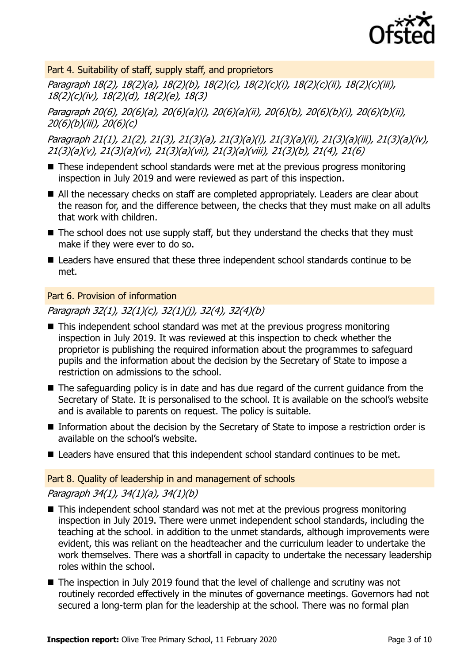

Part 4. Suitability of staff, supply staff, and proprietors

Paragraph 18(2), 18(2)(a), 18(2)(b), 18(2)(c), 18(2)(c)(i), 18(2)(c)(ii), 18(2)(c)(iii), 18(2)(c)(iv), 18(2)(d), 18(2)(e), 18(3)

Paragraph 20(6), 20(6)(a), 20(6)(a)(i), 20(6)(a)(ii), 20(6)(b), 20(6)(b)(i), 20(6)(b)(ii), 20(6)(b)(iii), 20(6)(c)

Paragraph 21(1), 21(2), 21(3), 21(3)(a), 21(3)(a)(i), 21(3)(a)(ii), 21(3)(a)(iii), 21(3)(a)(iv), 21(3)(a)(v), 21(3)(a)(vi), 21(3)(a)(vii), 21(3)(a)(viii), 21(3)(b), 21(4), 21(6)

- These independent school standards were met at the previous progress monitoring inspection in July 2019 and were reviewed as part of this inspection.
- All the necessary checks on staff are completed appropriately. Leaders are clear about the reason for, and the difference between, the checks that they must make on all adults that work with children.
- $\blacksquare$  The school does not use supply staff, but they understand the checks that they must make if they were ever to do so.
- Leaders have ensured that these three independent school standards continue to be met.

Part 6. Provision of information

Paragraph 32(1), 32(1)(c), 32(1)(j), 32(4), 32(4)(b)

- This independent school standard was met at the previous progress monitoring inspection in July 2019. It was reviewed at this inspection to check whether the proprietor is publishing the required information about the programmes to safeguard pupils and the information about the decision by the Secretary of State to impose a restriction on admissions to the school.
- The safeguarding policy is in date and has due regard of the current guidance from the Secretary of State. It is personalised to the school. It is available on the school's website and is available to parents on request. The policy is suitable.
- Information about the decision by the Secretary of State to impose a restriction order is available on the school's website.
- Leaders have ensured that this independent school standard continues to be met.

### Part 8. Quality of leadership in and management of schools

### Paragraph 34(1), 34(1)(a), 34(1)(b)

- This independent school standard was not met at the previous progress monitoring inspection in July 2019. There were unmet independent school standards, including the teaching at the school. in addition to the unmet standards, although improvements were evident, this was reliant on the headteacher and the curriculum leader to undertake the work themselves. There was a shortfall in capacity to undertake the necessary leadership roles within the school.
- The inspection in July 2019 found that the level of challenge and scrutiny was not routinely recorded effectively in the minutes of governance meetings. Governors had not secured a long-term plan for the leadership at the school. There was no formal plan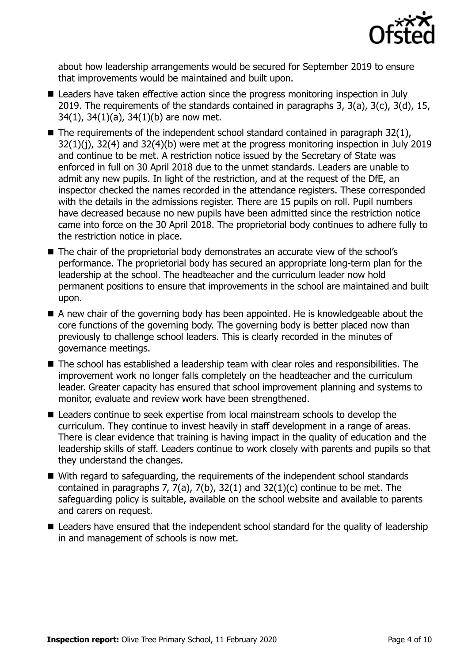

about how leadership arrangements would be secured for September 2019 to ensure that improvements would be maintained and built upon.

- Leaders have taken effective action since the progress monitoring inspection in July 2019. The requirements of the standards contained in paragraphs 3, 3(a), 3(c), 3(d), 15, 34(1), 34(1)(a), 34(1)(b) are now met.
- $\blacksquare$  The requirements of the independent school standard contained in paragraph 32(1), 32(1)(j), 32(4) and 32(4)(b) were met at the progress monitoring inspection in July 2019 and continue to be met. A restriction notice issued by the Secretary of State was enforced in full on 30 April 2018 due to the unmet standards. Leaders are unable to admit any new pupils. In light of the restriction, and at the request of the DfE, an inspector checked the names recorded in the attendance registers. These corresponded with the details in the admissions register. There are 15 pupils on roll. Pupil numbers have decreased because no new pupils have been admitted since the restriction notice came into force on the 30 April 2018. The proprietorial body continues to adhere fully to the restriction notice in place.
- The chair of the proprietorial body demonstrates an accurate view of the school's performance. The proprietorial body has secured an appropriate long-term plan for the leadership at the school. The headteacher and the curriculum leader now hold permanent positions to ensure that improvements in the school are maintained and built upon.
- A new chair of the governing body has been appointed. He is knowledgeable about the core functions of the governing body. The governing body is better placed now than previously to challenge school leaders. This is clearly recorded in the minutes of governance meetings.
- The school has established a leadership team with clear roles and responsibilities. The improvement work no longer falls completely on the headteacher and the curriculum leader. Greater capacity has ensured that school improvement planning and systems to monitor, evaluate and review work have been strengthened.
- Leaders continue to seek expertise from local mainstream schools to develop the curriculum. They continue to invest heavily in staff development in a range of areas. There is clear evidence that training is having impact in the quality of education and the leadership skills of staff. Leaders continue to work closely with parents and pupils so that they understand the changes.
- With regard to safeguarding, the requirements of the independent school standards contained in paragraphs 7,  $7(a)$ ,  $7(b)$ ,  $32(1)$  and  $32(1)(c)$  continue to be met. The safeguarding policy is suitable, available on the school website and available to parents and carers on request.
- Leaders have ensured that the independent school standard for the quality of leadership in and management of schools is now met.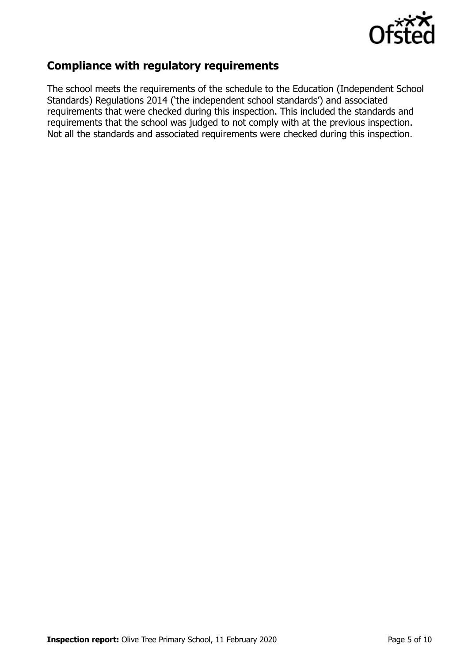

## **Compliance with regulatory requirements**

The school meets the requirements of the schedule to the Education (Independent School Standards) Regulations 2014 ('the independent school standards') and associated requirements that were checked during this inspection. This included the standards and requirements that the school was judged to not comply with at the previous inspection. Not all the standards and associated requirements were checked during this inspection.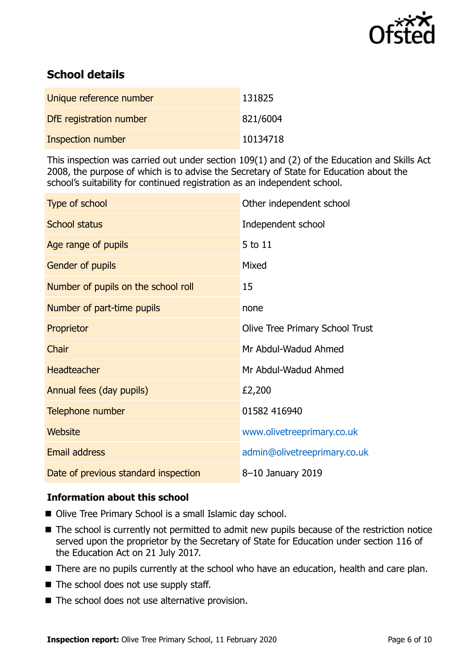

## **School details**

| Unique reference number  | 131825   |
|--------------------------|----------|
| DfE registration number  | 821/6004 |
| <b>Inspection number</b> | 10134718 |

This inspection was carried out under section 109(1) and (2) of the Education and Skills Act 2008, the purpose of which is to advise the Secretary of State for Education about the school's suitability for continued registration as an independent school.

| Type of school                       | Other independent school               |
|--------------------------------------|----------------------------------------|
| <b>School status</b>                 | Independent school                     |
| Age range of pupils                  | 5 to 11                                |
| Gender of pupils                     | Mixed                                  |
| Number of pupils on the school roll  | 15                                     |
| Number of part-time pupils           | none                                   |
| Proprietor                           | <b>Olive Tree Primary School Trust</b> |
| Chair                                | Mr Abdul-Wadud Ahmed                   |
| <b>Headteacher</b>                   | Mr Abdul-Wadud Ahmed                   |
| Annual fees (day pupils)             | £2,200                                 |
| Telephone number                     | 01582 416940                           |
| Website                              | www.olivetreeprimary.co.uk             |
| Email address                        | admin@olivetreeprimary.co.uk           |
| Date of previous standard inspection | 8-10 January 2019                      |

### **Information about this school**

- Olive Tree Primary School is a small Islamic day school.
- The school is currently not permitted to admit new pupils because of the restriction notice served upon the proprietor by the Secretary of State for Education under section 116 of the Education Act on 21 July 2017.
- There are no pupils currently at the school who have an education, health and care plan.
- $\blacksquare$  The school does not use supply staff.
- The school does not use alternative provision.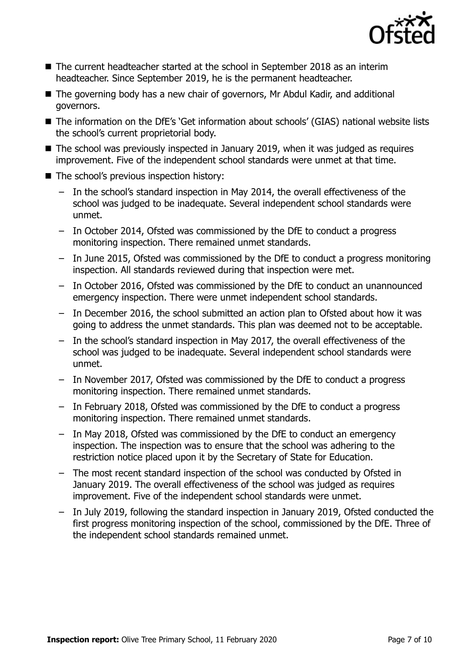

- The current headteacher started at the school in September 2018 as an interim headteacher. Since September 2019, he is the permanent headteacher.
- The governing body has a new chair of governors, Mr Abdul Kadir, and additional governors.
- The information on the DfE's 'Get information about schools' (GIAS) national website lists the school's current proprietorial body.
- The school was previously inspected in January 2019, when it was judged as requires improvement. Five of the independent school standards were unmet at that time.
- The school's previous inspection history:
	- In the school's standard inspection in May 2014, the overall effectiveness of the school was judged to be inadequate. Several independent school standards were unmet.
	- In October 2014, Ofsted was commissioned by the DfE to conduct a progress monitoring inspection. There remained unmet standards.
	- In June 2015, Ofsted was commissioned by the DfE to conduct a progress monitoring inspection. All standards reviewed during that inspection were met.
	- In October 2016, Ofsted was commissioned by the DfE to conduct an unannounced emergency inspection. There were unmet independent school standards.
	- In December 2016, the school submitted an action plan to Ofsted about how it was going to address the unmet standards. This plan was deemed not to be acceptable.
	- In the school's standard inspection in May 2017, the overall effectiveness of the school was judged to be inadequate. Several independent school standards were unmet.
	- In November 2017, Ofsted was commissioned by the DfE to conduct a progress monitoring inspection. There remained unmet standards.
	- In February 2018, Ofsted was commissioned by the DfE to conduct a progress monitoring inspection. There remained unmet standards.
	- In May 2018, Ofsted was commissioned by the DfE to conduct an emergency inspection. The inspection was to ensure that the school was adhering to the restriction notice placed upon it by the Secretary of State for Education.
	- The most recent standard inspection of the school was conducted by Ofsted in January 2019. The overall effectiveness of the school was judged as requires improvement. Five of the independent school standards were unmet.
	- In July 2019, following the standard inspection in January 2019, Ofsted conducted the first progress monitoring inspection of the school, commissioned by the DfE. Three of the independent school standards remained unmet.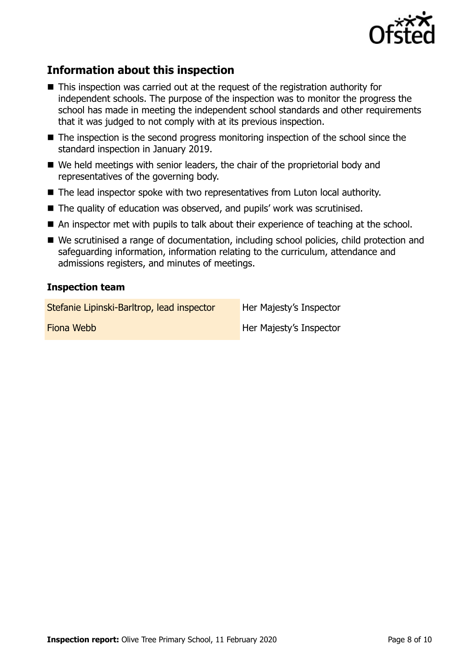

## **Information about this inspection**

- This inspection was carried out at the request of the registration authority for independent schools. The purpose of the inspection was to monitor the progress the school has made in meeting the independent school standards and other requirements that it was judged to not comply with at its previous inspection.
- The inspection is the second progress monitoring inspection of the school since the standard inspection in January 2019.
- We held meetings with senior leaders, the chair of the proprietorial body and representatives of the governing body.
- The lead inspector spoke with two representatives from Luton local authority.
- The quality of education was observed, and pupils' work was scrutinised.
- An inspector met with pupils to talk about their experience of teaching at the school.
- We scrutinised a range of documentation, including school policies, child protection and safeguarding information, information relating to the curriculum, attendance and admissions registers, and minutes of meetings.

#### **Inspection team**

Stefanie Lipinski-Barltrop, lead inspector Her Majesty's Inspector

**Fiona Webb Her Majesty's Inspector**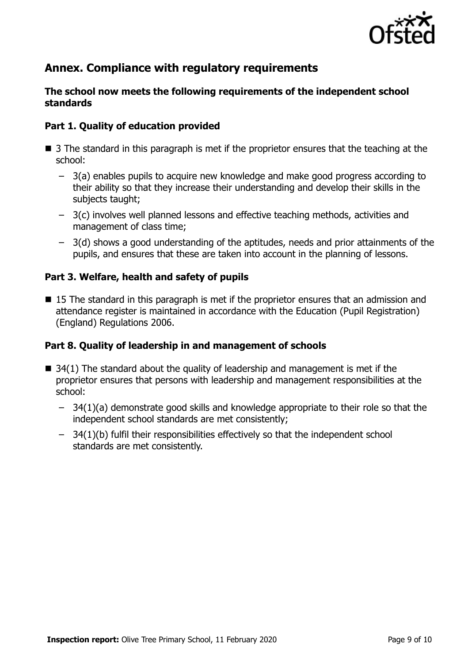

## **Annex. Compliance with regulatory requirements**

#### **The school now meets the following requirements of the independent school standards**

#### **Part 1. Quality of education provided**

- 3 The standard in this paragraph is met if the proprietor ensures that the teaching at the school:
	- 3(a) enables pupils to acquire new knowledge and make good progress according to their ability so that they increase their understanding and develop their skills in the subjects taught:
	- 3(c) involves well planned lessons and effective teaching methods, activities and management of class time;
	- 3(d) shows a good understanding of the aptitudes, needs and prior attainments of the pupils, and ensures that these are taken into account in the planning of lessons.

#### **Part 3. Welfare, health and safety of pupils**

■ 15 The standard in this paragraph is met if the proprietor ensures that an admission and attendance register is maintained in accordance with the Education (Pupil Registration) (England) Regulations 2006.

#### **Part 8. Quality of leadership in and management of schools**

- $\blacksquare$  34(1) The standard about the quality of leadership and management is met if the proprietor ensures that persons with leadership and management responsibilities at the school:
	- 34(1)(a) demonstrate good skills and knowledge appropriate to their role so that the independent school standards are met consistently;
	- 34(1)(b) fulfil their responsibilities effectively so that the independent school standards are met consistently.